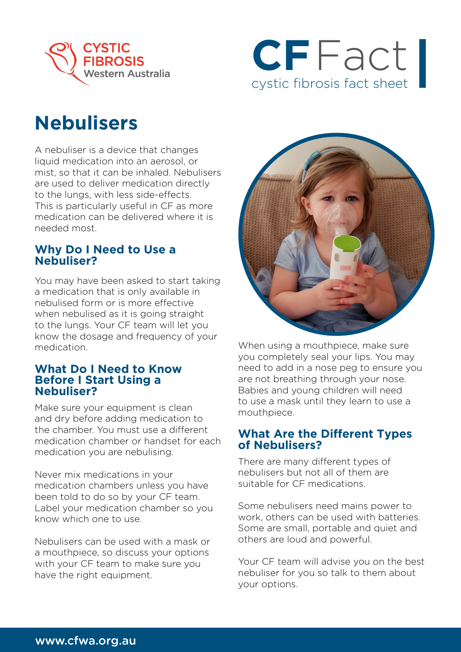



# **Nebulisers**

A nebuliser is a device that changes liquid medication into an aerosol, or mist, so that it can be inhaled. Nebulisers are used to deliver medication directly to the lungs, with less side-effects. This is particularly useful in CF as more medication can be delivered where it is needed most.

### **Why Do I Need to Use a Nebuliser?**

You may have been asked to start taking a medication that is only available in nebulised form or is more effective when nebulised as it is going straight to the lungs. Your CF team will let you know the dosage and frequency of your medication.

#### **What Do I Need to Know Before I Start Using a Nebuliser?**

Make sure your equipment is clean and dry before adding medication to the chamber. You must use a different medication chamber or handset for each medication you are nebulising.

Never mix medications in your medication chambers unless you have been told to do so by your CF team. Label your medication chamber so you know which one to use.

Nebulisers can be used with a mask or a mouthpiece, so discuss your options with your CF team to make sure you have the right equipment.



When using a mouthpiece, make sure you completely seal your lips. You may need to add in a nose peg to ensure you are not breathing through your nose. Babies and young children will need to use a mask until they learn to use a mouthpiece.

## **What Are the Different Types of Nebulisers?**

There are many different types of nebulisers but not all of them are suitable for CF medications.

Some nebulisers need mains power to work, others can be used with batteries. Some are small, portable and quiet and others are loud and powerful.

Your CF team will advise you on the best nebuliser for you so talk to them about your options.